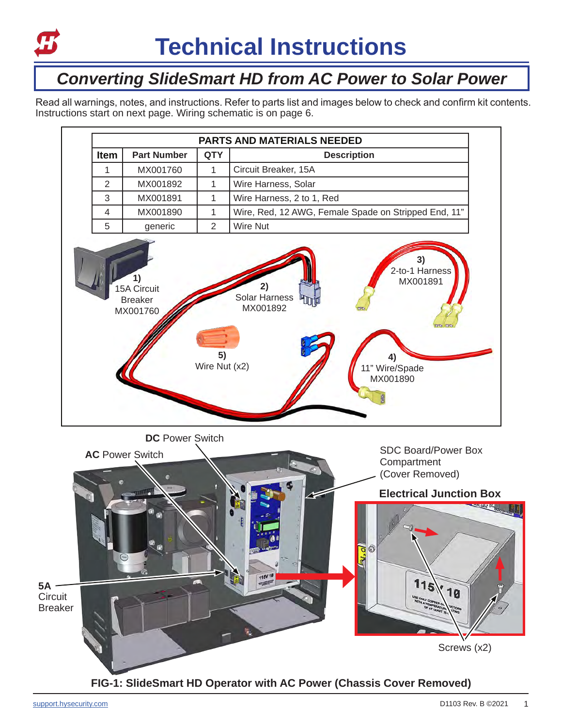

## *Converting SlideSmart HD from AC Power to Solar Power*

Read all warnings, notes, and instructions. Refer to parts list and images below to check and confirm kit contents. Instructions start on next page. Wiring schematic is on page 6.



**DC** Power Switch

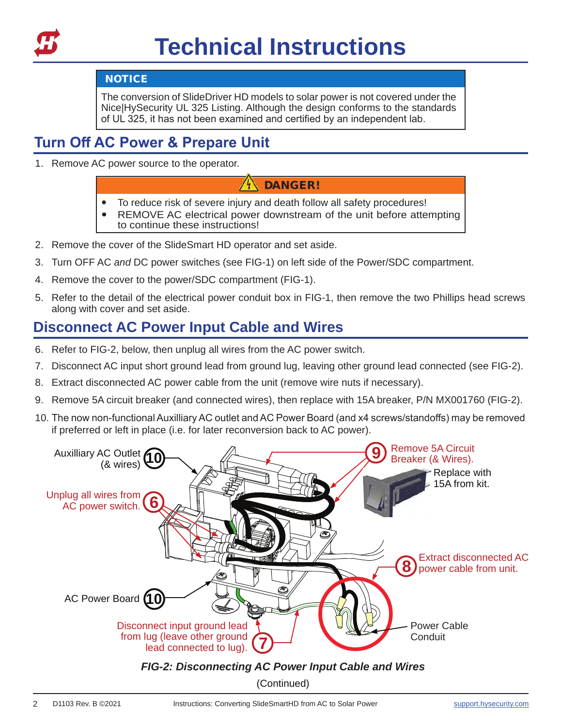

#### **NOTICE**

The conversion of SlideDriver HD models to solar power is not covered under the Nice|HySecurity UL 325 Listing. Although the design conforms to the standards of UL 325, it has not been examined and certified by an independent lab.

## **Turn Off AC Power & Prepare Unit**

1. Remove AC power source to the operator.

#### DANGER!

- ' To reduce risk of severe injury and death follow all safety procedures!
- REMOVE AC electrical power downstream of the unit before attempting to continue these instructions!
- 2. Remove the cover of the SlideSmart HD operator and set aside.
- 3. Turn OFF AC *and* DC power switches (see FIG-1) on left side of the Power/SDC compartment.
- 4. Remove the cover to the power/SDC compartment (FIG-1).
- 5. Refer to the detail of the electrical power conduit box in FIG-1, then remove the two Phillips head screws along with cover and set aside.

### **Disconnect AC Power Input Cable and Wires**

- 6. Refer to FIG-2, below, then unplug all wires from the AC power switch.
- 7. Disconnect AC input short ground lead from ground lug, leaving other ground lead connected (see FIG-2).
- 8. Extract disconnected AC power cable from the unit (remove wire nuts if necessary).
- 9. Remove 5A circuit breaker (and connected wires), then replace with 15A breaker, P/N MX001760 (FIG-2).
- 10. The now non-functional Auxilliary AC outlet and AC Power Board (and x4 screws/standoffs) may be removed if preferred or left in place (i.e. for later reconversion back to AC power).

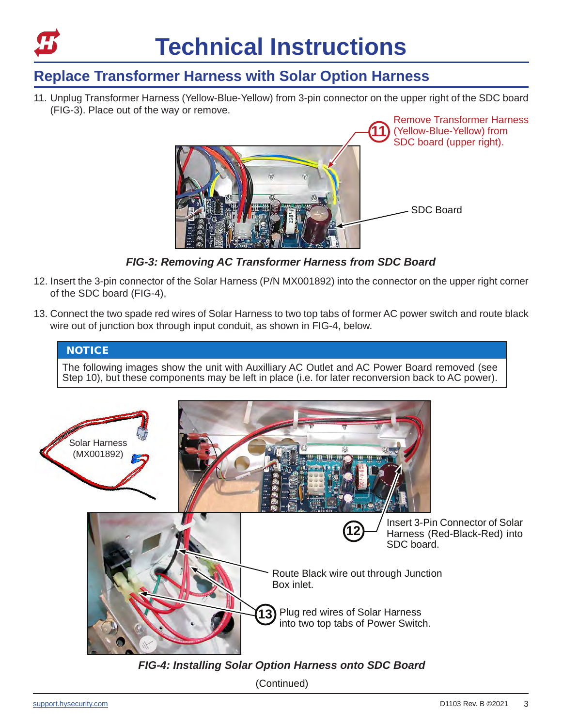

## **Replace Transformer Harness with Solar Option Harness**

11. Unplug Transformer Harness (Yellow-Blue-Yellow) from 3-pin connector on the upper right of the SDC board (FIG-3). Place out of the way or remove.



*FIG-3: Removing AC Transformer Harness from SDC Board*

- 12. Insert the 3-pin connector of the Solar Harness (P/N MX001892) into the connector on the upper right corner of the SDC board (FIG-4),
- 13. Connect the two spade red wires of Solar Harness to two top tabs of former AC power switch and route black wire out of junction box through input conduit, as shown in FIG-4, below.



The following images show the unit with Auxilliary AC Outlet and AC Power Board removed (see Step 10), but these components may be left in place (i.e. for later reconversion back to AC power).



*FIG-4: Installing Solar Option Harness onto SDC Board*

(Continued)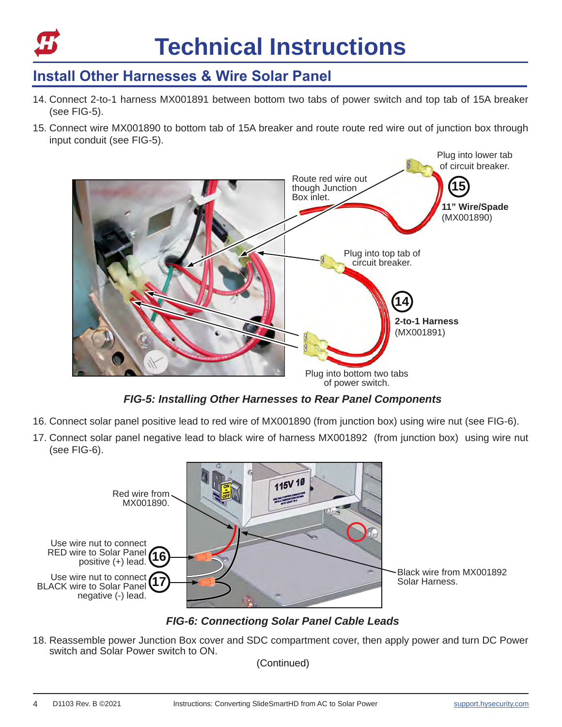

## **Install Other Harnesses & Wire Solar Panel**

- 14. Connect 2-to-1 harness MX001891 between bottom two tabs of power switch and top tab of 15A breaker (see FIG-5).
- 15. Connect wire MX001890 to bottom tab of 15A breaker and route route red wire out of junction box through input conduit (see FIG-5).



*FIG-5: Installing Other Harnesses to Rear Panel Components*

- 16. Connect solar panel positive lead to red wire of MX001890 (from junction box) using wire nut (see FIG-6).
- 17. Connect solar panel negative lead to black wire of harness MX001892 (from junction box) using wire nut (see FIG-6).



*FIG-6: Connectiong Solar Panel Cable Leads*

18. Reassemble power Junction Box cover and SDC compartment cover, then apply power and turn DC Power switch and Solar Power switch to ON.

(Continued)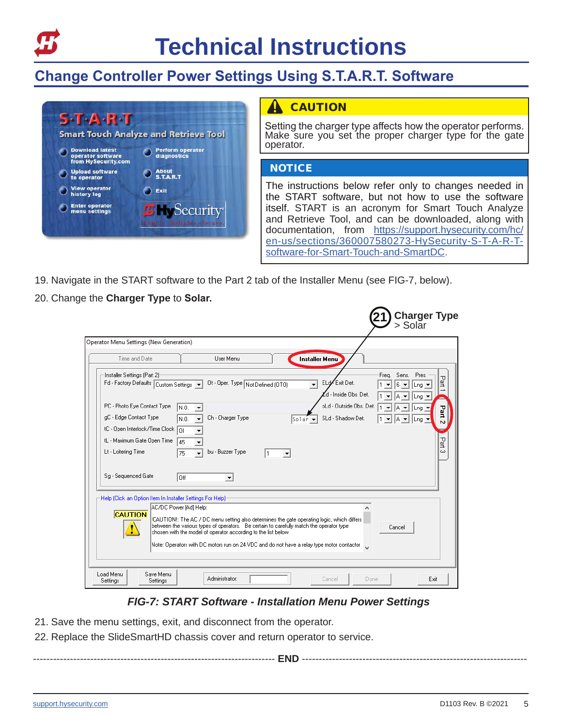

## **Change Controller Power Settings Using S.T.A.R.T. Software**



#### **CAUTION**

Setting the charger type affects how the operator performs. Make sure you set the proper charger type for the gate operator.

#### **NOTICE**

The instructions below refer only to changes needed in the START software, but not how to use the software itself. START is an acronym for Smart Touch Analyze and Retrieve Tool, and can be downloaded, along with documentation, from https://support.hysecurity.com/hc/ en-us/sections/360007580273-HySecurity-S-T-A-R-Tsoftware-for-Smart-Touch-and-SmartDC.

- 19. Navigate in the START software to the Part 2 tab of the Installer Menu (see FIG-7, below).
- 20. Change the **Charger Type** to **Solar.**

| Time and Date                                                                             | User Menu<br><b>Installer Menu</b>                                                                                                                                                                                                                                                                                                                                               |                                                        |
|-------------------------------------------------------------------------------------------|----------------------------------------------------------------------------------------------------------------------------------------------------------------------------------------------------------------------------------------------------------------------------------------------------------------------------------------------------------------------------------|--------------------------------------------------------|
| Installer Settings (Part 2)<br>Fd - Factory Defaults Custom Settings                      | ELd Exit Det.<br>Ot - Oper. Type Not Defined (OT0)<br>$\mathbf{v}$<br>d - Inside Obs. Det.                                                                                                                                                                                                                                                                                       | Sens. Pres.<br>Freq.<br>Part<br>6<br>Lng<br>-na        |
| PC - Photo Eye Contact Type<br>gC - Edge Contact Type<br>tC - Open Interlock/Time Clock 0 | oLd - Outside Obs. Det.<br>In.o.<br>Ch - Charger Type<br>SLd - Shadow Det.<br>In.o.<br>$\textsf{SoIar}\blacktriangleright$                                                                                                                                                                                                                                                       | 꾍<br> Lng<br>IA.<br>$\blacktriangledown$<br> Lnq <br>Ñ |
| tL - Maximum Gate Open Time<br>Lt - Loitering Time                                        | 145<br>bu - Buzzer Type<br>75<br>11<br>▼                                                                                                                                                                                                                                                                                                                                         | Part<br>co                                             |
| Sq - Sequenced Gate                                                                       | l Off                                                                                                                                                                                                                                                                                                                                                                            |                                                        |
| Help (Click an Option Item In Installer Settings For Help)<br><b>CAUTION</b>              | AC/DC Power [Ad] Help:<br>!CAUTION!: The AC / DC menu setting also determines the gate operating logic, which differs.<br>between the various types of operators. Be certain to carefully match the operator type<br>chosen with the model of operator according to the list below.<br>Note: Operators with DC motors run on 24 VDC and do not have a relay type motor contactor | Cancel                                                 |

#### *FIG-7: START Software - Installation Menu Power Settings*

- 21. Save the menu settings, exit, and disconnect from the operator.
- 22. Replace the SlideSmartHD chassis cover and return operator to service.